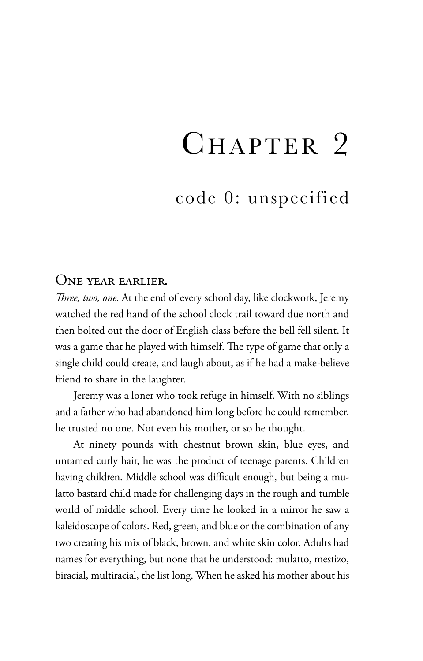## CHAPTER 2

code 0: unspecified

## One year earlier.

*Three, two, one*. At the end of every school day, like clockwork, Jeremy watched the red hand of the school clock trail toward due north and then bolted out the door of English class before the bell fell silent. It was a game that he played with himself. The type of game that only a single child could create, and laugh about, as if he had a make-believe friend to share in the laughter.

Jeremy was a loner who took refuge in himself. With no siblings and a father who had abandoned him long before he could remember, he trusted no one. Not even his mother, or so he thought.

At ninety pounds with chestnut brown skin, blue eyes, and untamed curly hair, he was the product of teenage parents. Children having children. Middle school was difficult enough, but being a mulatto bastard child made for challenging days in the rough and tumble world of middle school. Every time he looked in a mirror he saw a kaleidoscope of colors. Red, green, and blue or the combination of any two creating his mix of black, brown, and white skin color. Adults had names for everything, but none that he understood: mulatto, mestizo, biracial, multiracial, the list long. When he asked his mother about his